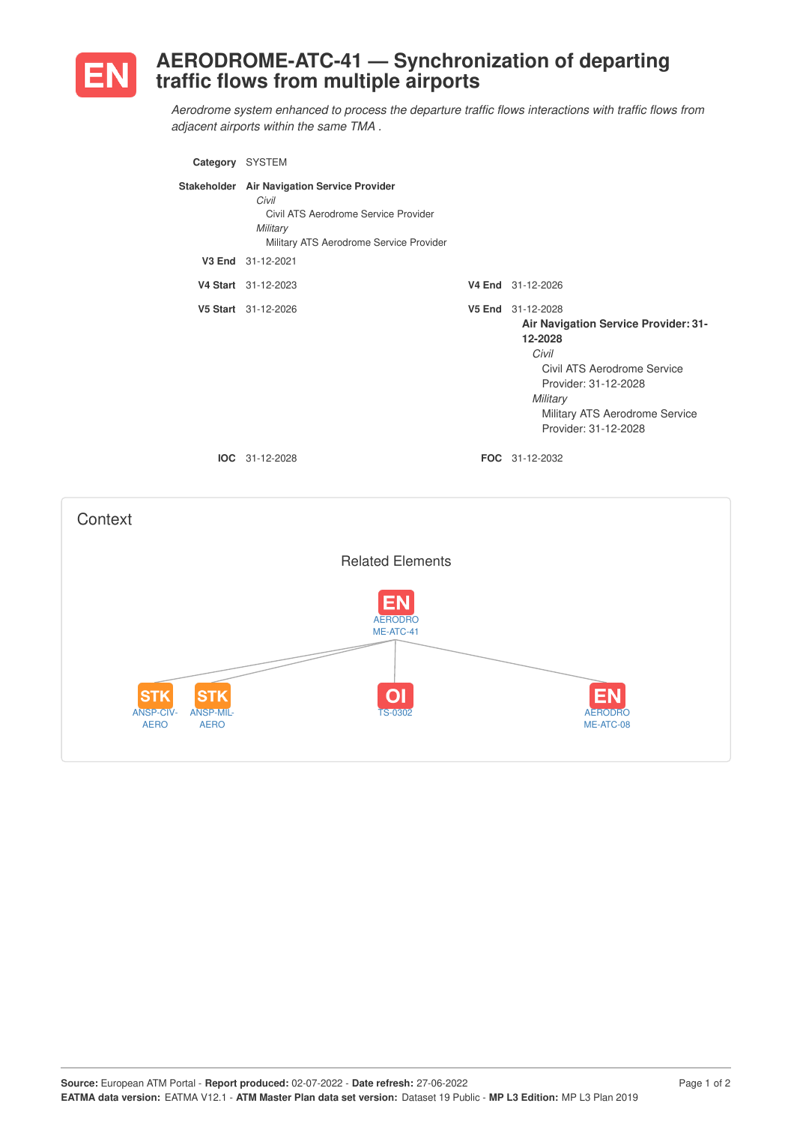

ANSP-CIV-AERO

ANSP-MIL-AERO

## **AERODROME-ATC-41 — Synchronization of departing traffic flows from multiple airports**

*Aerodrome system enhanced to process the departure traffic flows interactions with traffic flows from adjacent airports within the same TMA .*



TS-0302 AERODRO

ME-ATC-08